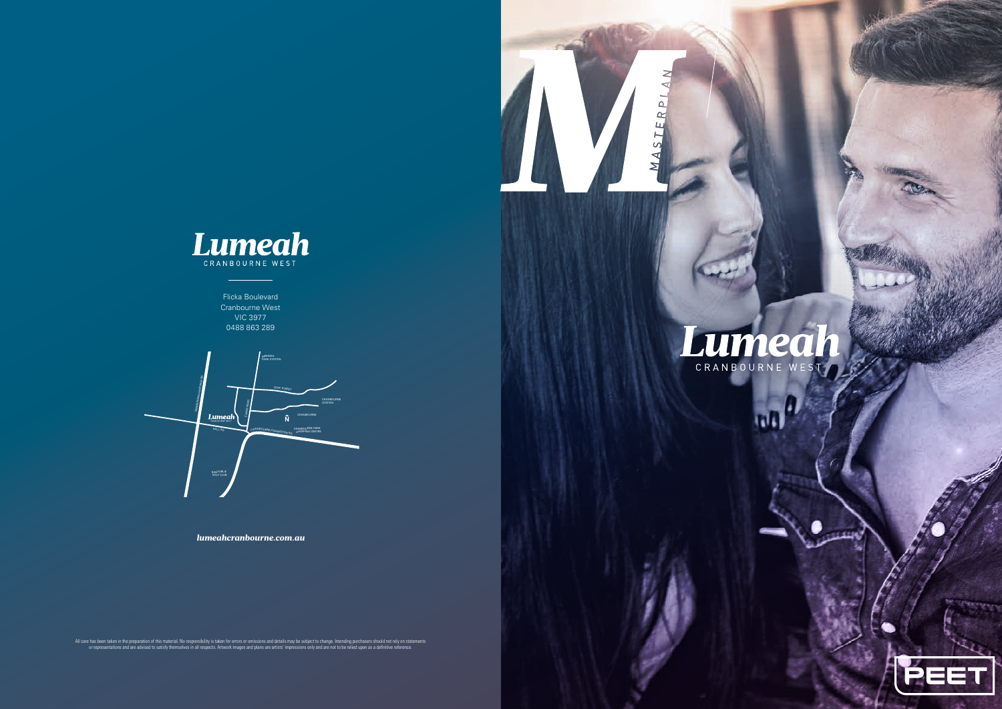*lumeahcranbourne.com.au*

All care has been taken in the preparation of this material. No responsibility is taken for errors or omissions and details may be subject to change. Intending purchasers should not rely on statements<br>or representations an



MASTE





Flicka Boulevard Cranbourne West VIC 3977 0488 863 289